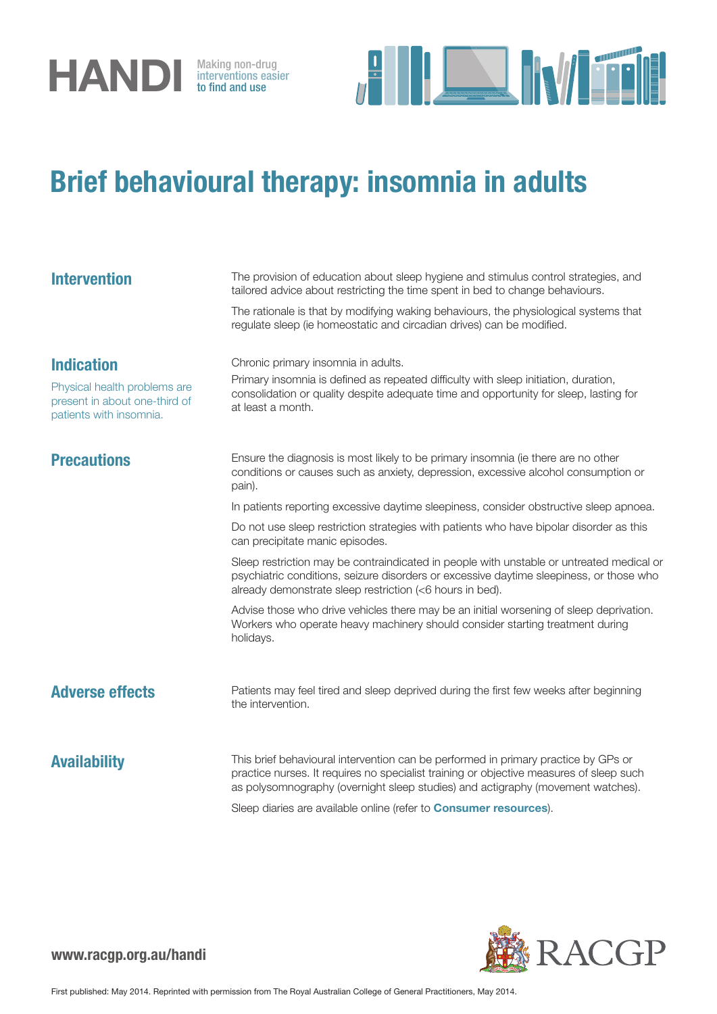

interventions easier to find and use



### Brief behavioural therapy: insomnia in adults

| <b>Intervention</b>                                                                                           | The provision of education about sleep hygiene and stimulus control strategies, and<br>tailored advice about restricting the time spent in bed to change behaviours.<br>The rationale is that by modifying waking behaviours, the physiological systems that<br>regulate sleep (ie homeostatic and circadian drives) can be modified.         |
|---------------------------------------------------------------------------------------------------------------|-----------------------------------------------------------------------------------------------------------------------------------------------------------------------------------------------------------------------------------------------------------------------------------------------------------------------------------------------|
| <b>Indication</b><br>Physical health problems are<br>present in about one-third of<br>patients with insomnia. | Chronic primary insomnia in adults.<br>Primary insomnia is defined as repeated difficulty with sleep initiation, duration,<br>consolidation or quality despite adequate time and opportunity for sleep, lasting for<br>at least a month.                                                                                                      |
| <b>Precautions</b>                                                                                            | Ensure the diagnosis is most likely to be primary insomnia (ie there are no other<br>conditions or causes such as anxiety, depression, excessive alcohol consumption or<br>pain).                                                                                                                                                             |
|                                                                                                               | In patients reporting excessive daytime sleepiness, consider obstructive sleep apnoea.                                                                                                                                                                                                                                                        |
|                                                                                                               | Do not use sleep restriction strategies with patients who have bipolar disorder as this<br>can precipitate manic episodes.                                                                                                                                                                                                                    |
|                                                                                                               | Sleep restriction may be contraindicated in people with unstable or untreated medical or<br>psychiatric conditions, seizure disorders or excessive daytime sleepiness, or those who<br>already demonstrate sleep restriction (<6 hours in bed).                                                                                               |
|                                                                                                               | Advise those who drive vehicles there may be an initial worsening of sleep deprivation.<br>Workers who operate heavy machinery should consider starting treatment during<br>holidays.                                                                                                                                                         |
| <b>Adverse effects</b>                                                                                        | Patients may feel tired and sleep deprived during the first few weeks after beginning<br>the intervention.                                                                                                                                                                                                                                    |
| <b>Availability</b>                                                                                           | This brief behavioural intervention can be performed in primary practice by GPs or<br>practice nurses. It requires no specialist training or objective measures of sleep such<br>as polysomnography (overnight sleep studies) and actigraphy (movement watches).<br>Sleep diaries are available online (refer to <b>Consumer resources</b> ). |

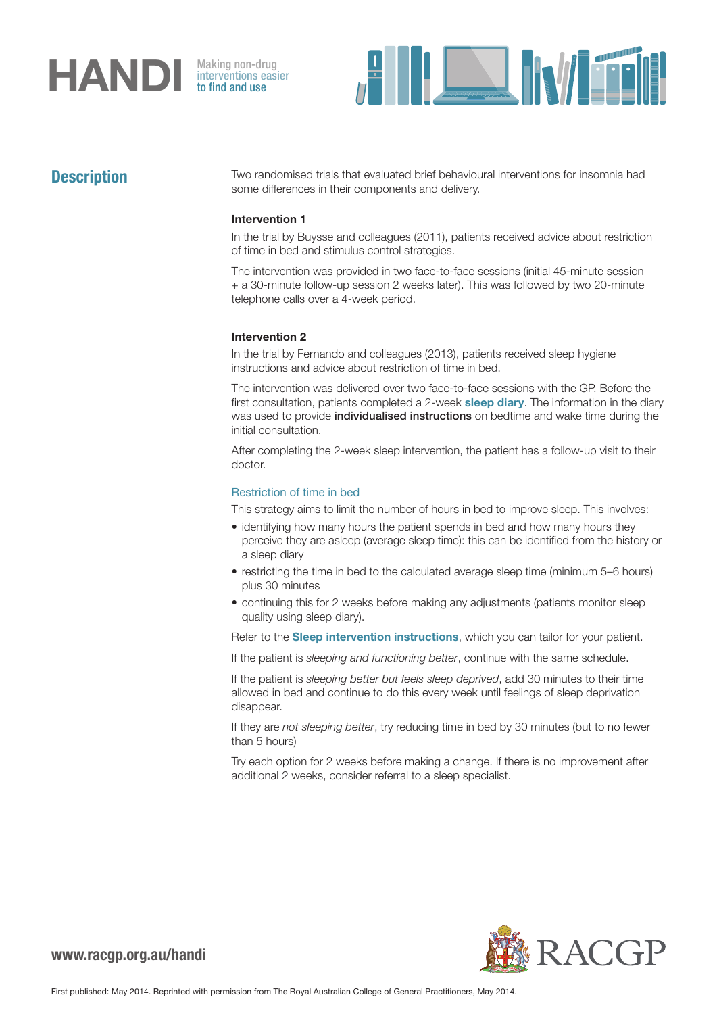# **HANDI** Making non-drug<br>to find and use

interventions easier to find and use



**Description** Two randomised trials that evaluated brief behavioural interventions for insomnia had some differences in their components and delivery.

### Intervention 1

In the trial by Buysse and colleagues (2011), patients received advice about restriction of time in bed and stimulus control strategies.

The intervention was provided in two face-to-face sessions (initial 45-minute session + a 30-minute follow-up session 2 weeks later). This was followed by two 20-minute telephone calls over a 4-week period.

#### Intervention 2

In the trial by Fernando and colleagues (2013), patients received sleep hygiene instructions and advice about restriction of time in bed.

The intervention was delivered over two face-to-face sessions with the GP. Before the first consultation, patients completed a 2-week [sleep diary](http://www.racgp.org.au/download/Documents/HANDI/handi-insomniasleepdiary.xls). The information in the diary was used to provide *individualised instructions* on bedtime and wake time during the initial consultation.

After completing the 2-week sleep intervention, the patient has a follow-up visit to their doctor.

#### Restriction of time in bed

This strategy aims to limit the number of hours in bed to improve sleep. This involves:

- identifying how many hours the patient spends in bed and how many hours they perceive they are asleep (average sleep time): this can be identified from the history or a sleep diary
- restricting the time in bed to the calculated average sleep time (minimum 5–6 hours) plus 30 minutes
- continuing this for 2 weeks before making any adjustments (patients monitor sleep quality using sleep diary).

Refer to the **[Sleep intervention instructions](http://www.racgp.org.au/download/Documents/HANDI/handi-insomnia-sleepinterventioninstructions.pdf)**, which you can tailor for your patient.

If the patient is *sleeping and functioning better*, continue with the same schedule.

If the patient is *sleeping better but feels sleep deprived*, add 30 minutes to their time allowed in bed and continue to do this every week until feelings of sleep deprivation disappear.

If they are *not sleeping better*, try reducing time in bed by 30 minutes (but to no fewer than 5 hours)

Try each option for 2 weeks before making a change. If there is no improvement after additional 2 weeks, consider referral to a sleep specialist.

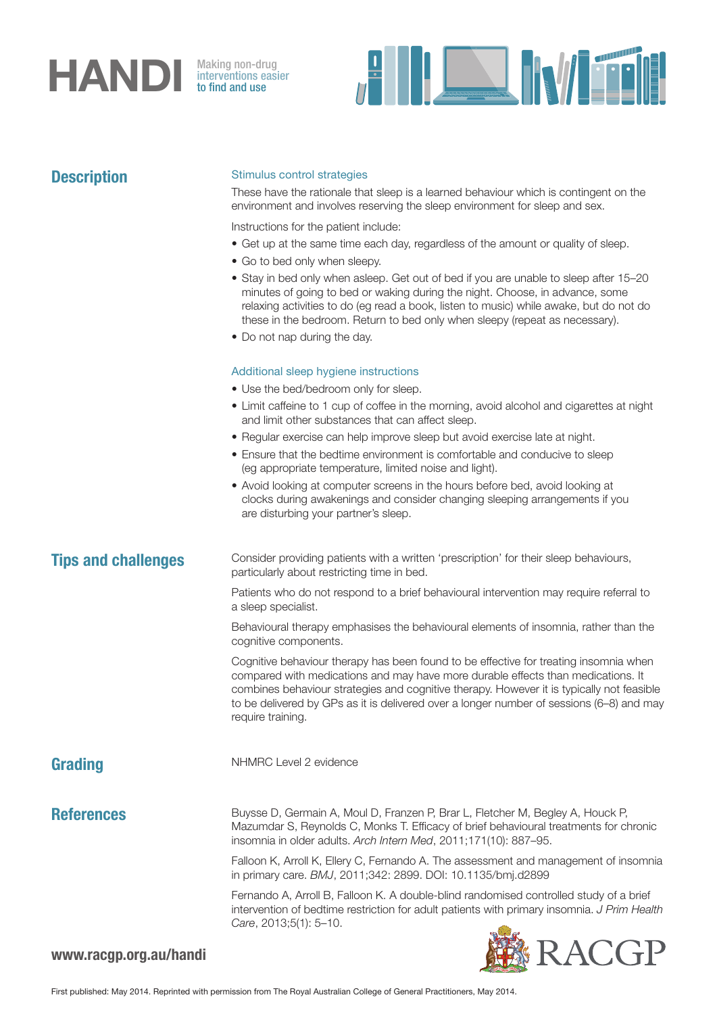## **HANDI** Making non-drug<br>to find and use

**Description** 

interventions easier to find and use



| <b>Description</b>         | Stimulus control strategies                                                                                                                                                                                                                                                                                                                                                             |
|----------------------------|-----------------------------------------------------------------------------------------------------------------------------------------------------------------------------------------------------------------------------------------------------------------------------------------------------------------------------------------------------------------------------------------|
|                            | These have the rationale that sleep is a learned behaviour which is contingent on the<br>environment and involves reserving the sleep environment for sleep and sex.                                                                                                                                                                                                                    |
|                            | Instructions for the patient include:                                                                                                                                                                                                                                                                                                                                                   |
|                            | • Get up at the same time each day, regardless of the amount or quality of sleep.                                                                                                                                                                                                                                                                                                       |
|                            | • Go to bed only when sleepy.                                                                                                                                                                                                                                                                                                                                                           |
|                            | • Stay in bed only when asleep. Get out of bed if you are unable to sleep after 15-20<br>minutes of going to bed or waking during the night. Choose, in advance, some<br>relaxing activities to do (eg read a book, listen to music) while awake, but do not do<br>these in the bedroom. Return to bed only when sleepy (repeat as necessary).                                          |
|                            | • Do not nap during the day.                                                                                                                                                                                                                                                                                                                                                            |
|                            | Additional sleep hygiene instructions                                                                                                                                                                                                                                                                                                                                                   |
|                            | • Use the bed/bedroom only for sleep.                                                                                                                                                                                                                                                                                                                                                   |
|                            | • Limit caffeine to 1 cup of coffee in the morning, avoid alcohol and cigarettes at night                                                                                                                                                                                                                                                                                               |
|                            | and limit other substances that can affect sleep.                                                                                                                                                                                                                                                                                                                                       |
|                            | • Regular exercise can help improve sleep but avoid exercise late at night.                                                                                                                                                                                                                                                                                                             |
|                            | • Ensure that the bedtime environment is comfortable and conducive to sleep<br>(eg appropriate temperature, limited noise and light).                                                                                                                                                                                                                                                   |
|                            | • Avoid looking at computer screens in the hours before bed, avoid looking at<br>clocks during awakenings and consider changing sleeping arrangements if you<br>are disturbing your partner's sleep.                                                                                                                                                                                    |
| <b>Tips and challenges</b> | Consider providing patients with a written 'prescription' for their sleep behaviours,<br>particularly about restricting time in bed.                                                                                                                                                                                                                                                    |
|                            | Patients who do not respond to a brief behavioural intervention may require referral to<br>a sleep specialist.                                                                                                                                                                                                                                                                          |
|                            | Behavioural therapy emphasises the behavioural elements of insomnia, rather than the<br>cognitive components.                                                                                                                                                                                                                                                                           |
|                            | Cognitive behaviour therapy has been found to be effective for treating insomnia when<br>compared with medications and may have more durable effects than medications. It<br>combines behaviour strategies and cognitive therapy. However it is typically not feasible<br>to be delivered by GPs as it is delivered over a longer number of sessions (6-8) and may<br>require training. |
| Grading                    | NHMRC Level 2 evidence                                                                                                                                                                                                                                                                                                                                                                  |
| <b>References</b>          | Buysse D, Germain A, Moul D, Franzen P, Brar L, Fletcher M, Begley A, Houck P,<br>Mazumdar S, Reynolds C, Monks T. Efficacy of brief behavioural treatments for chronic<br>insomnia in older adults. Arch Intern Med, 2011;171(10): 887-95.                                                                                                                                             |
|                            | Falloon K, Arroll K, Ellery C, Fernando A. The assessment and management of insomnia<br>in primary care. BMJ, 2011;342: 2899. DOI: 10.1135/bmj.d2899                                                                                                                                                                                                                                    |
|                            | Fernando A, Arroll B, Falloon K. A double-blind randomised controlled study of a brief<br>intervention of bedtime restriction for adult patients with primary insomnia. J Prim Health<br>Care, 2013;5(1): 5-10.                                                                                                                                                                         |
|                            | DACCD                                                                                                                                                                                                                                                                                                                                                                                   |